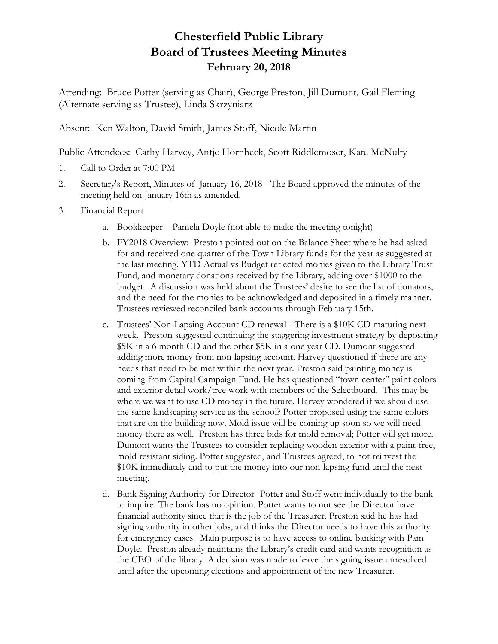## **Chesterfield Public Library Board of Trustees Meeting Minutes February 20, 2018**

Attending: Bruce Potter (serving as Chair), George Preston, Jill Dumont, Gail Fleming (Alternate serving as Trustee), Linda Skrzyniarz

Absent: Ken Walton, David Smith, James Stoff, Nicole Martin

Public Attendees: Cathy Harvey, Antje Hornbeck, Scott Riddlemoser, Kate McNulty

- 1. Call to Order at 7:00 PM
- 2. Secretary's Report, Minutes of January 16, 2018 The Board approved the minutes of the meeting held on January 16th as amended.
- 3. Financial Report
	- a. Bookkeeper Pamela Doyle (not able to make the meeting tonight)
	- b. FY2018 Overview: Preston pointed out on the Balance Sheet where he had asked for and received one quarter of the Town Library funds for the year as suggested at the last meeting. YTD Actual vs Budget reflected monies given to the Library Trust Fund, and monetary donations received by the Library, adding over \$1000 to the budget. A discussion was held about the Trustees' desire to see the list of donators, and the need for the monies to be acknowledged and deposited in a timely manner. Trustees reviewed reconciled bank accounts through February 15th.
	- c. Trustees' Non-Lapsing Account CD renewal There is a \$10K CD maturing next week. Preston suggested continuing the staggering investment strategy by depositing \$5K in a 6 month CD and the other \$5K in a one year CD. Dumont suggested adding more money from non-lapsing account. Harvey questioned if there are any needs that need to be met within the next year. Preston said painting money is coming from Capital Campaign Fund. He has questioned "town center" paint colors and exterior detail work/tree work with members of the Selectboard. This may be where we want to use CD money in the future. Harvey wondered if we should use the same landscaping service as the school? Potter proposed using the same colors that are on the building now. Mold issue will be coming up soon so we will need money there as well. Preston has three bids for mold removal; Potter will get more. Dumont wants the Trustees to consider replacing wooden exterior with a paint-free, mold resistant siding. Potter suggested, and Trustees agreed, to not reinvest the \$10K immediately and to put the money into our non-lapsing fund until the next meeting.
	- d. Bank Signing Authority for Director- Potter and Stoff went individually to the bank to inquire. The bank has no opinion. Potter wants to not see the Director have financial authority since that is the job of the Treasurer. Preston said he has had signing authority in other jobs, and thinks the Director needs to have this authority for emergency cases. Main purpose is to have access to online banking with Pam Doyle. Preston already maintains the Library's credit card and wants recognition as the CEO of the library. A decision was made to leave the signing issue unresolved until after the upcoming elections and appointment of the new Treasurer.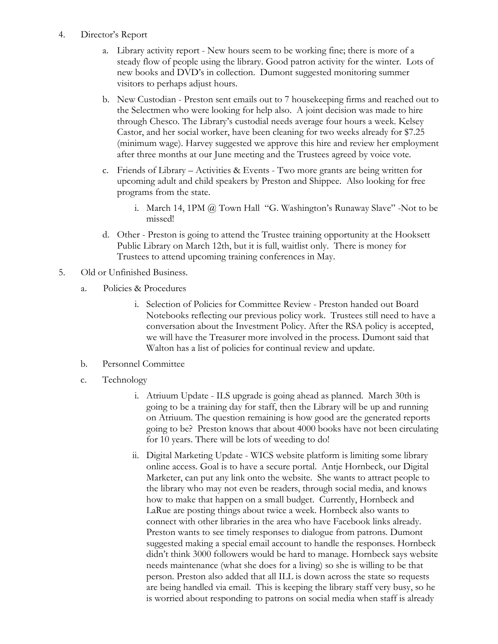- 4. Director's Report
	- a. Library activity report New hours seem to be working fine; there is more of a steady flow of people using the library. Good patron activity for the winter. Lots of new books and DVD's in collection. Dumont suggested monitoring summer visitors to perhaps adjust hours.
	- b. New Custodian Preston sent emails out to 7 housekeeping firms and reached out to the Selectmen who were looking for help also. A joint decision was made to hire through Chesco. The Library's custodial needs average four hours a week. Kelsey Castor, and her social worker, have been cleaning for two weeks already for \$7.25 (minimum wage). Harvey suggested we approve this hire and review her employment after three months at our June meeting and the Trustees agreed by voice vote.
	- c. Friends of Library Activities & Events Two more grants are being written for upcoming adult and child speakers by Preston and Shippee. Also looking for free programs from the state.
		- i. March 14, 1PM @ Town Hall "G. Washington's Runaway Slave" -Not to be missed!
	- d. Other Preston is going to attend the Trustee training opportunity at the Hooksett Public Library on March 12th, but it is full, waitlist only. There is money for Trustees to attend upcoming training conferences in May.
- 5. Old or Unfinished Business.
	- a. Policies & Procedures
		- i. Selection of Policies for Committee Review Preston handed out Board Notebooks reflecting our previous policy work. Trustees still need to have a conversation about the Investment Policy. After the RSA policy is accepted, we will have the Treasurer more involved in the process. Dumont said that Walton has a list of policies for continual review and update.
	- b. Personnel Committee
	- c. Technology
		- i. Atriuum Update ILS upgrade is going ahead as planned. March 30th is going to be a training day for staff, then the Library will be up and running on Atriuum. The question remaining is how good are the generated reports going to be? Preston knows that about 4000 books have not been circulating for 10 years. There will be lots of weeding to do!
		- ii. Digital Marketing Update WICS website platform is limiting some library online access. Goal is to have a secure portal. Antje Hornbeck, our Digital Marketer, can put any link onto the website. She wants to attract people to the library who may not even be readers, through social media, and knows how to make that happen on a small budget. Currently, Hornbeck and LaRue are posting things about twice a week. Hornbeck also wants to connect with other libraries in the area who have Facebook links already. Preston wants to see timely responses to dialogue from patrons. Dumont suggested making a special email account to handle the responses. Hornbeck didn't think 3000 followers would be hard to manage. Hornbeck says website needs maintenance (what she does for a living) so she is willing to be that person. Preston also added that all ILL is down across the state so requests are being handled via email. This is keeping the library staff very busy, so he is worried about responding to patrons on social media when staff is already